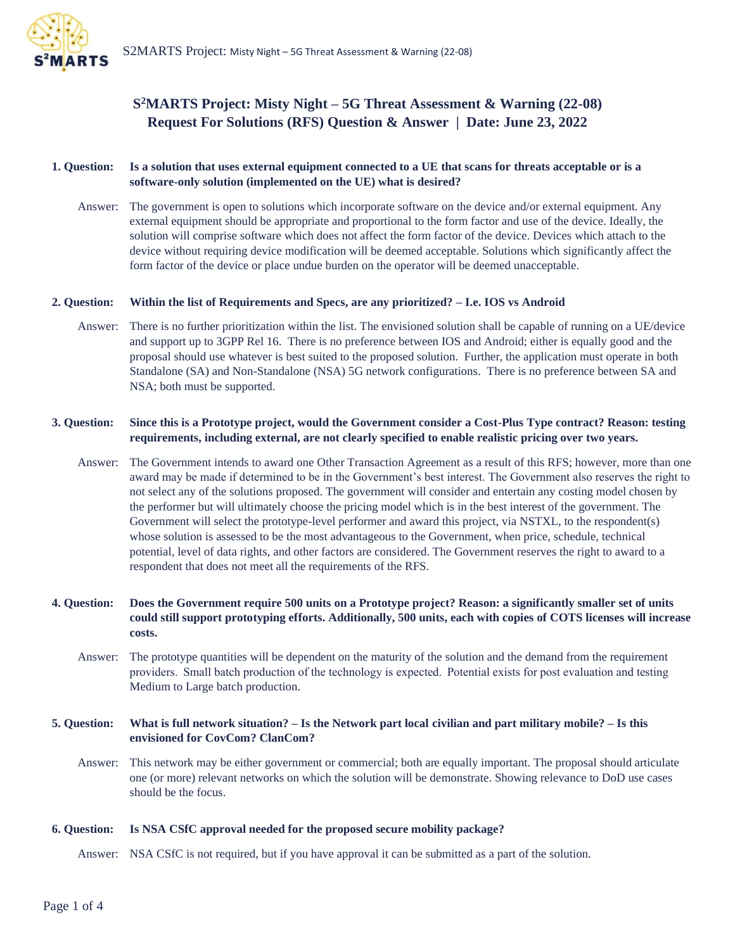

# **S <sup>2</sup>MARTS Project: Misty Night – 5G Threat Assessment & Warning (22-08) Request For Solutions (RFS) Question & Answer | Date: June 23, 2022**

### **1. Question: Is a solution that uses external equipment connected to a UE that scans for threats acceptable or is a software-only solution (implemented on the UE) what is desired?**

Answer: The government is open to solutions which incorporate software on the device and/or external equipment. Any external equipment should be appropriate and proportional to the form factor and use of the device. Ideally, the solution will comprise software which does not affect the form factor of the device. Devices which attach to the device without requiring device modification will be deemed acceptable. Solutions which significantly affect the form factor of the device or place undue burden on the operator will be deemed unacceptable.

#### **2. Question: Within the list of Requirements and Specs, are any prioritized? – I.e. IOS vs Android**

Answer: There is no further prioritization within the list. The envisioned solution shall be capable of running on a UE/device and support up to 3GPP Rel 16. There is no preference between IOS and Android; either is equally good and the proposal should use whatever is best suited to the proposed solution. Further, the application must operate in both Standalone (SA) and Non-Standalone (NSA) 5G network configurations. There is no preference between SA and NSA; both must be supported.

### **3. Question: Since this is a Prototype project, would the Government consider a Cost-Plus Type contract? Reason: testing requirements, including external, are not clearly specified to enable realistic pricing over two years.**

Answer: The Government intends to award one Other Transaction Agreement as a result of this RFS; however, more than one award may be made if determined to be in the Government's best interest. The Government also reserves the right to not select any of the solutions proposed. The government will consider and entertain any costing model chosen by the performer but will ultimately choose the pricing model which is in the best interest of the government. The Government will select the prototype-level performer and award this project, via NSTXL, to the respondent(s) whose solution is assessed to be the most advantageous to the Government, when price, schedule, technical potential, level of data rights, and other factors are considered. The Government reserves the right to award to a respondent that does not meet all the requirements of the RFS.

### **4. Question: Does the Government require 500 units on a Prototype project? Reason: a significantly smaller set of units could still support prototyping efforts. Additionally, 500 units, each with copies of COTS licenses will increase costs.**

Answer: The prototype quantities will be dependent on the maturity of the solution and the demand from the requirement providers.  Small batch production of the technology is expected.  Potential exists for post evaluation and testing Medium to Large batch production.

#### **5. Question: What is full network situation? – Is the Network part local civilian and part military mobile? – Is this envisioned for CovCom? ClanCom?**

Answer: This network may be either government or commercial; both are equally important. The proposal should articulate one (or more) relevant networks on which the solution will be demonstrate. Showing relevance to DoD use cases should be the focus.

#### **6. Question: Is NSA CSfC approval needed for the proposed secure mobility package?**

Answer: NSA CSfC is not required, but if you have approval it can be submitted as a part of the solution.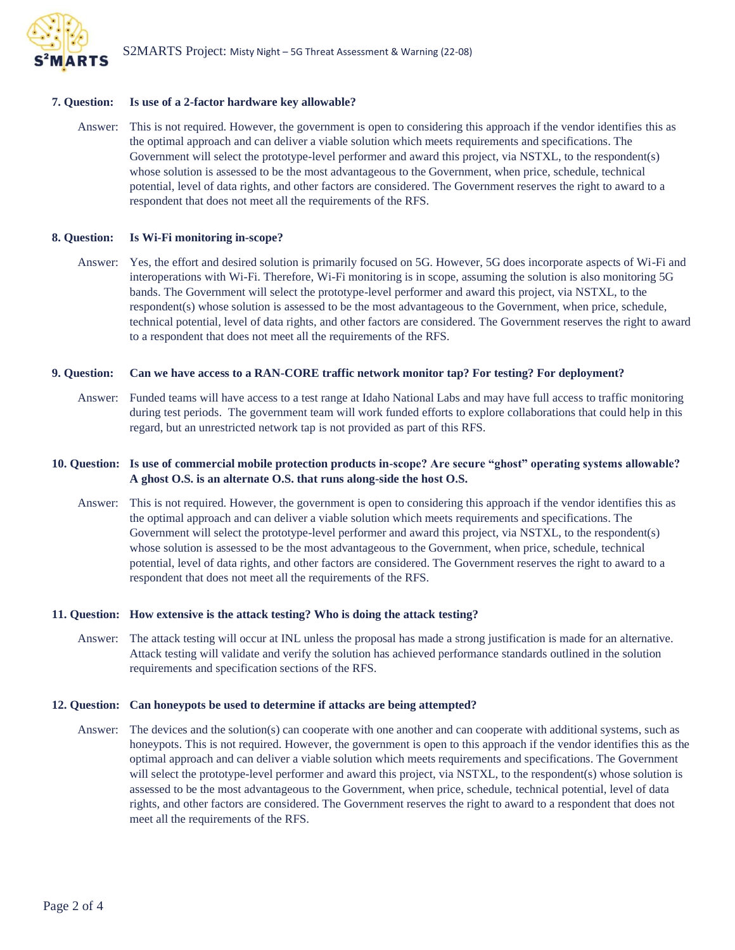

### **7. Question: Is use of a 2-factor hardware key allowable?**

Answer: This is not required. However, the government is open to considering this approach if the vendor identifies this as the optimal approach and can deliver a viable solution which meets requirements and specifications. The Government will select the prototype-level performer and award this project, via NSTXL, to the respondent(s) whose solution is assessed to be the most advantageous to the Government, when price, schedule, technical potential, level of data rights, and other factors are considered. The Government reserves the right to award to a respondent that does not meet all the requirements of the RFS.

#### **8. Question: Is Wi-Fi monitoring in-scope?**

Answer: Yes, the effort and desired solution is primarily focused on 5G. However, 5G does incorporate aspects of Wi-Fi and interoperations with Wi-Fi. Therefore, Wi-Fi monitoring is in scope, assuming the solution is also monitoring 5G bands. The Government will select the prototype-level performer and award this project, via NSTXL, to the respondent(s) whose solution is assessed to be the most advantageous to the Government, when price, schedule, technical potential, level of data rights, and other factors are considered. The Government reserves the right to award to a respondent that does not meet all the requirements of the RFS.

#### **9. Question: Can we have access to a RAN-CORE traffic network monitor tap? For testing? For deployment?**

Answer: Funded teams will have access to a test range at Idaho National Labs and may have full access to traffic monitoring during test periods. The government team will work funded efforts to explore collaborations that could help in this regard, but an unrestricted network tap is not provided as part of this RFS.

### **10. Question: Is use of commercial mobile protection products in-scope? Are secure "ghost" operating systems allowable? A ghost O.S. is an alternate O.S. that runs along-side the host O.S.**

Answer: This is not required. However, the government is open to considering this approach if the vendor identifies this as the optimal approach and can deliver a viable solution which meets requirements and specifications. The Government will select the prototype-level performer and award this project, via NSTXL, to the respondent(s) whose solution is assessed to be the most advantageous to the Government, when price, schedule, technical potential, level of data rights, and other factors are considered. The Government reserves the right to award to a respondent that does not meet all the requirements of the RFS.

#### **11. Question: How extensive is the attack testing? Who is doing the attack testing?**

Answer: The attack testing will occur at INL unless the proposal has made a strong justification is made for an alternative. Attack testing will validate and verify the solution has achieved performance standards outlined in the solution requirements and specification sections of the RFS.

#### **12. Question: Can honeypots be used to determine if attacks are being attempted?**

Answer: The devices and the solution(s) can cooperate with one another and can cooperate with additional systems, such as honeypots. This is not required. However, the government is open to this approach if the vendor identifies this as the optimal approach and can deliver a viable solution which meets requirements and specifications. The Government will select the prototype-level performer and award this project, via NSTXL, to the respondent(s) whose solution is assessed to be the most advantageous to the Government, when price, schedule, technical potential, level of data rights, and other factors are considered. The Government reserves the right to award to a respondent that does not meet all the requirements of the RFS.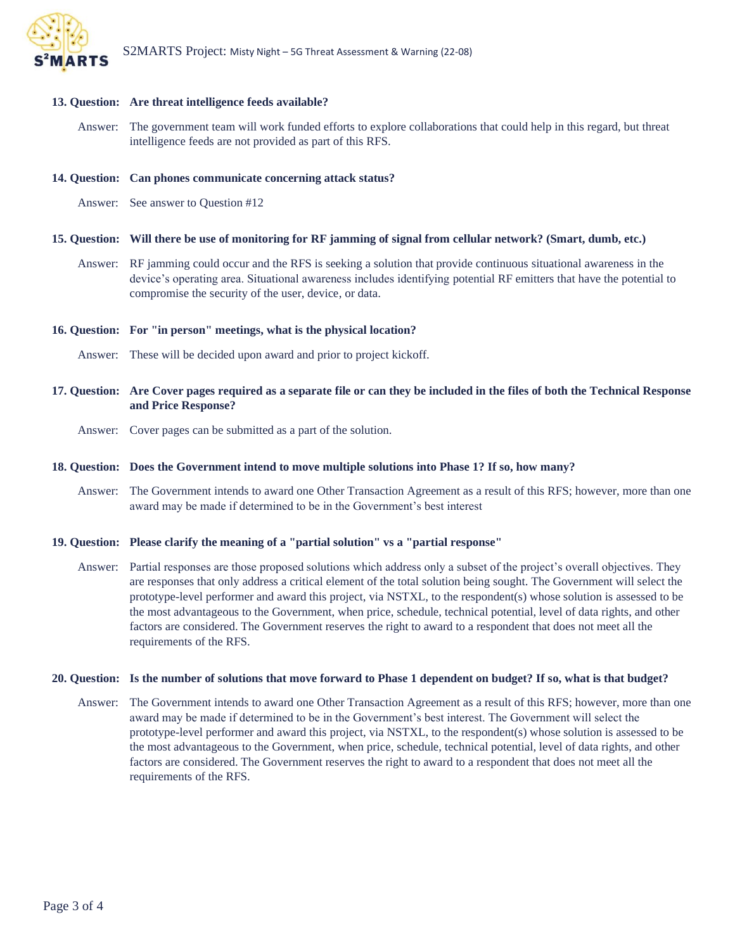

## **13. Question: Are threat intelligence feeds available?**

Answer: The government team will work funded efforts to explore collaborations that could help in this regard, but threat intelligence feeds are not provided as part of this RFS.

### **14. Question: Can phones communicate concerning attack status?**

Answer: See answer to Question #12

## **15. Question: Will there be use of monitoring for RF jamming of signal from cellular network? (Smart, dumb, etc.)**

Answer: RF jamming could occur and the RFS is seeking a solution that provide continuous situational awareness in the device's operating area. Situational awareness includes identifying potential RF emitters that have the potential to compromise the security of the user, device, or data.

## **16. Question: For "in person" meetings, what is the physical location?**

- Answer: These will be decided upon award and prior to project kickoff.
- **17. Question: Are Cover pages required as a separate file or can they be included in the files of both the Technical Response and Price Response?** 
	- Answer: Cover pages can be submitted as a part of the solution.

## **18. Question: Does the Government intend to move multiple solutions into Phase 1? If so, how many?**

Answer: The Government intends to award one Other Transaction Agreement as a result of this RFS; however, more than one award may be made if determined to be in the Government's best interest

## **19. Question: Please clarify the meaning of a "partial solution" vs a "partial response"**

Answer: Partial responses are those proposed solutions which address only a subset of the project's overall objectives. They are responses that only address a critical element of the total solution being sought. The Government will select the prototype-level performer and award this project, via NSTXL, to the respondent(s) whose solution is assessed to be the most advantageous to the Government, when price, schedule, technical potential, level of data rights, and other factors are considered. The Government reserves the right to award to a respondent that does not meet all the requirements of the RFS.

### **20. Question: Is the number of solutions that move forward to Phase 1 dependent on budget? If so, what is that budget?**

Answer: The Government intends to award one Other Transaction Agreement as a result of this RFS; however, more than one award may be made if determined to be in the Government's best interest. The Government will select the prototype-level performer and award this project, via NSTXL, to the respondent(s) whose solution is assessed to be the most advantageous to the Government, when price, schedule, technical potential, level of data rights, and other factors are considered. The Government reserves the right to award to a respondent that does not meet all the requirements of the RFS.